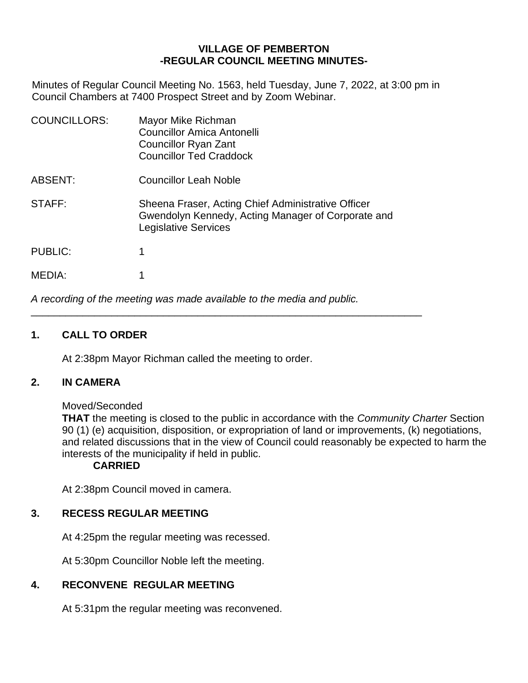## **VILLAGE OF PEMBERTON -REGULAR COUNCIL MEETING MINUTES-**

Minutes of Regular Council Meeting No. 1563, held Tuesday, June 7, 2022, at 3:00 pm in Council Chambers at 7400 Prospect Street and by Zoom Webinar.

| <b>COUNCILLORS:</b> | Mayor Mike Richman<br><b>Councillor Amica Antonelli</b><br>Councillor Ryan Zant<br><b>Councillor Ted Craddock</b>                       |
|---------------------|-----------------------------------------------------------------------------------------------------------------------------------------|
| ABSENT:             | <b>Councillor Leah Noble</b>                                                                                                            |
| STAFF:              | Sheena Fraser, Acting Chief Administrative Officer<br>Gwendolyn Kennedy, Acting Manager of Corporate and<br><b>Legislative Services</b> |
| <b>PUBLIC:</b>      | 1                                                                                                                                       |
| MEDIA:              |                                                                                                                                         |

*A recording of the meeting was made available to the media and public.*

\_\_\_\_\_\_\_\_\_\_\_\_\_\_\_\_\_\_\_\_\_\_\_\_\_\_\_\_\_\_\_\_\_\_\_\_\_\_\_\_\_\_\_\_\_\_\_\_\_\_\_\_\_\_\_\_\_\_\_\_\_\_\_\_\_\_\_\_

# **1. CALL TO ORDER**

At 2:38pm Mayor Richman called the meeting to order.

## **2. IN CAMERA**

Moved/Seconded

**THAT** the meeting is closed to the public in accordance with the *Community Charter* Section 90 (1) (e) acquisition, disposition, or expropriation of land or improvements, (k) negotiations, and related discussions that in the view of Council could reasonably be expected to harm the interests of the municipality if held in public.

#### **CARRIED**

At 2:38pm Council moved in camera.

## **3. RECESS REGULAR MEETING**

At 4:25pm the regular meeting was recessed.

At 5:30pm Councillor Noble left the meeting.

# **4. RECONVENE REGULAR MEETING**

At 5:31pm the regular meeting was reconvened.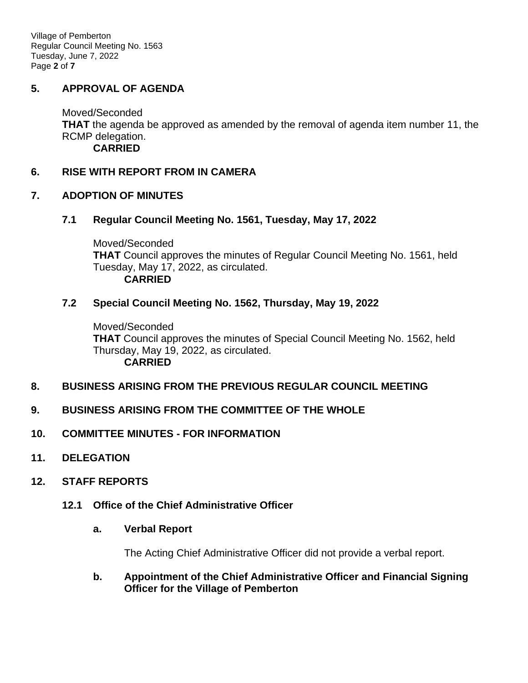Village of Pemberton Regular Council Meeting No. 1563 Tuesday, June 7, 2022 Page **2** of **7**

## **5. APPROVAL OF AGENDA**

Moved/Seconded **THAT** the agenda be approved as amended by the removal of agenda item number 11, the RCMP delegation. **CARRIED**

### **6. RISE WITH REPORT FROM IN CAMERA**

### **7. ADOPTION OF MINUTES**

### **7.1 Regular Council Meeting No. 1561, Tuesday, May 17, 2022**

Moved/Seconded **THAT** Council approves the minutes of Regular Council Meeting No. 1561, held Tuesday, May 17, 2022, as circulated. **CARRIED**

#### **7.2 Special Council Meeting No. 1562, Thursday, May 19, 2022**

Moved/Seconded **THAT** Council approves the minutes of Special Council Meeting No. 1562, held Thursday, May 19, 2022, as circulated. **CARRIED**

## **8. BUSINESS ARISING FROM THE PREVIOUS REGULAR COUNCIL MEETING**

## **9. BUSINESS ARISING FROM THE COMMITTEE OF THE WHOLE**

## **10. COMMITTEE MINUTES - FOR INFORMATION**

**11. DELEGATION**

#### **12. STAFF REPORTS**

**12.1 Office of the Chief Administrative Officer**

#### **a. Verbal Report**

The Acting Chief Administrative Officer did not provide a verbal report.

**b. Appointment of the Chief Administrative Officer and Financial Signing Officer for the Village of Pemberton**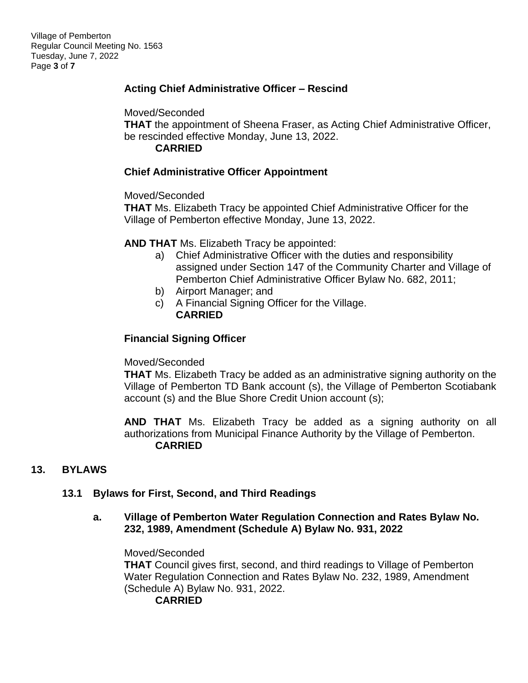# **Acting Chief Administrative Officer – Rescind**

Moved/Seconded

**THAT** the appointment of Sheena Fraser, as Acting Chief Administrative Officer, be rescinded effective Monday, June 13, 2022.

**CARRIED**

## **Chief Administrative Officer Appointment**

Moved/Seconded

**THAT** Ms. Elizabeth Tracy be appointed Chief Administrative Officer for the Village of Pemberton effective Monday, June 13, 2022.

**AND THAT** Ms. Elizabeth Tracy be appointed:

- a) Chief Administrative Officer with the duties and responsibility assigned under Section 147 of the Community Charter and Village of Pemberton Chief Administrative Officer Bylaw No. 682, 2011;
- b) Airport Manager; and
- c) A Financial Signing Officer for the Village. **CARRIED**

# **Financial Signing Officer**

## Moved/Seconded

**THAT** Ms. Elizabeth Tracy be added as an administrative signing authority on the Village of Pemberton TD Bank account (s), the Village of Pemberton Scotiabank account (s) and the Blue Shore Credit Union account (s);

**AND THAT** Ms. Elizabeth Tracy be added as a signing authority on all authorizations from Municipal Finance Authority by the Village of Pemberton. **CARRIED**

# **13. BYLAWS**

# **13.1 Bylaws for First, Second, and Third Readings**

## **a. Village of Pemberton Water Regulation Connection and Rates Bylaw No. 232, 1989, Amendment (Schedule A) Bylaw No. 931, 2022**

Moved/Seconded **THAT** Council gives first, second, and third readings to Village of Pemberton Water Regulation Connection and Rates Bylaw No. 232, 1989, Amendment (Schedule A) Bylaw No. 931, 2022.

**CARRIED**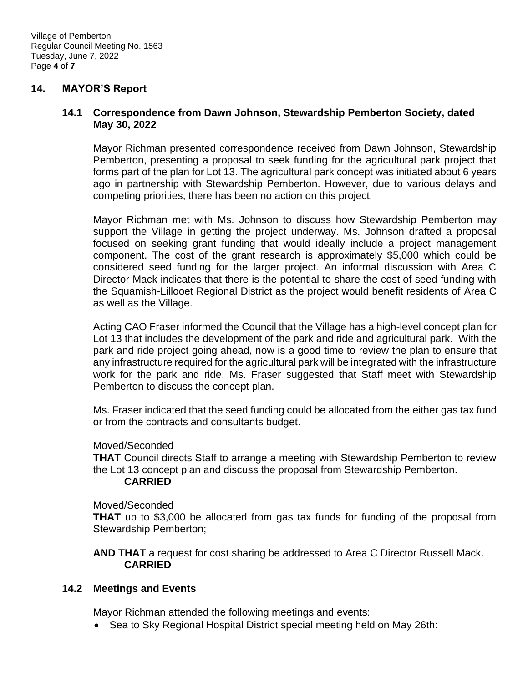### **14. MAYOR'S Report**

### **14.1 Correspondence from Dawn Johnson, Stewardship Pemberton Society, dated May 30, 2022**

Mayor Richman presented correspondence received from Dawn Johnson, Stewardship Pemberton, presenting a proposal to seek funding for the agricultural park project that forms part of the plan for Lot 13. The agricultural park concept was initiated about 6 years ago in partnership with Stewardship Pemberton. However, due to various delays and competing priorities, there has been no action on this project.

Mayor Richman met with Ms. Johnson to discuss how Stewardship Pemberton may support the Village in getting the project underway. Ms. Johnson drafted a proposal focused on seeking grant funding that would ideally include a project management component. The cost of the grant research is approximately \$5,000 which could be considered seed funding for the larger project. An informal discussion with Area C Director Mack indicates that there is the potential to share the cost of seed funding with the Squamish-Lillooet Regional District as the project would benefit residents of Area C as well as the Village.

Acting CAO Fraser informed the Council that the Village has a high-level concept plan for Lot 13 that includes the development of the park and ride and agricultural park. With the park and ride project going ahead, now is a good time to review the plan to ensure that any infrastructure required for the agricultural park will be integrated with the infrastructure work for the park and ride. Ms. Fraser suggested that Staff meet with Stewardship Pemberton to discuss the concept plan.

Ms. Fraser indicated that the seed funding could be allocated from the either gas tax fund or from the contracts and consultants budget.

#### Moved/Seconded

**THAT** Council directs Staff to arrange a meeting with Stewardship Pemberton to review the Lot 13 concept plan and discuss the proposal from Stewardship Pemberton.

#### **CARRIED**

Moved/Seconded

**THAT** up to \$3,000 be allocated from gas tax funds for funding of the proposal from Stewardship Pemberton;

**AND THAT** a request for cost sharing be addressed to Area C Director Russell Mack. **CARRIED**

#### **14.2 Meetings and Events**

Mayor Richman attended the following meetings and events:

• Sea to Sky Regional Hospital District special meeting held on May 26th: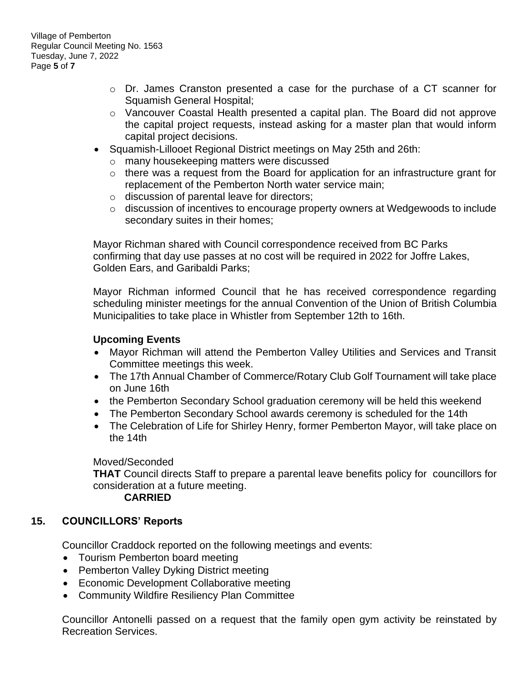- o Dr. James Cranston presented a case for the purchase of a CT scanner for Squamish General Hospital;
- o Vancouver Coastal Health presented a capital plan. The Board did not approve the capital project requests, instead asking for a master plan that would inform capital project decisions.
- Squamish-Lillooet Regional District meetings on May 25th and 26th:
	- o many housekeeping matters were discussed
	- o there was a request from the Board for application for an infrastructure grant for replacement of the Pemberton North water service main;
	- o discussion of parental leave for directors;
	- o discussion of incentives to encourage property owners at Wedgewoods to include secondary suites in their homes;

Mayor Richman shared with Council correspondence received from BC Parks confirming that day use passes at no cost will be required in 2022 for Joffre Lakes, Golden Ears, and Garibaldi Parks;

Mayor Richman informed Council that he has received correspondence regarding scheduling minister meetings for the annual Convention of the Union of British Columbia Municipalities to take place in Whistler from September 12th to 16th.

## **Upcoming Events**

- Mayor Richman will attend the Pemberton Valley Utilities and Services and Transit Committee meetings this week.
- The 17th Annual Chamber of Commerce/Rotary Club Golf Tournament will take place on June 16th
- the Pemberton Secondary School graduation ceremony will be held this weekend
- The Pemberton Secondary School awards ceremony is scheduled for the 14th
- The Celebration of Life for Shirley Henry, former Pemberton Mayor, will take place on the 14th

## Moved/Seconded

**THAT** Council directs Staff to prepare a parental leave benefits policy for councillors for consideration at a future meeting.

## **CARRIED**

# **15. COUNCILLORS' Reports**

Councillor Craddock reported on the following meetings and events:

- Tourism Pemberton board meeting
- Pemberton Valley Dyking District meeting
- Economic Development Collaborative meeting
- Community Wildfire Resiliency Plan Committee

Councillor Antonelli passed on a request that the family open gym activity be reinstated by Recreation Services.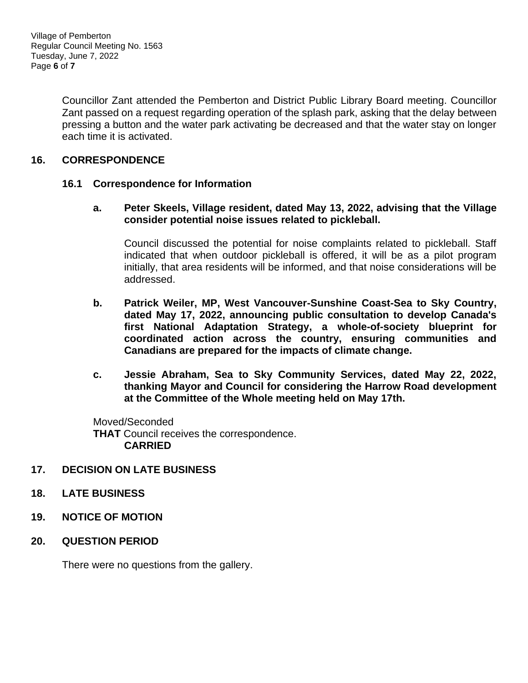Village of Pemberton Regular Council Meeting No. 1563 Tuesday, June 7, 2022 Page **6** of **7**

> Councillor Zant attended the Pemberton and District Public Library Board meeting. Councillor Zant passed on a request regarding operation of the splash park, asking that the delay between pressing a button and the water park activating be decreased and that the water stay on longer each time it is activated.

## **16. CORRESPONDENCE**

## **16.1 Correspondence for Information**

**a. Peter Skeels, Village resident, dated May 13, 2022, advising that the Village consider potential noise issues related to pickleball.**

Council discussed the potential for noise complaints related to pickleball. Staff indicated that when outdoor pickleball is offered, it will be as a pilot program initially, that area residents will be informed, and that noise considerations will be addressed.

- **b. Patrick Weiler, MP, West Vancouver-Sunshine Coast-Sea to Sky Country, dated May 17, 2022, announcing public consultation to develop Canada's first National Adaptation Strategy, a whole-of-society blueprint for coordinated action across the country, ensuring communities and Canadians are prepared for the impacts of climate change.**
- **c. Jessie Abraham, Sea to Sky Community Services, dated May 22, 2022, thanking Mayor and Council for considering the Harrow Road development at the Committee of the Whole meeting held on May 17th.**

Moved/Seconded **THAT** Council receives the correspondence. **CARRIED**

## **17. DECISION ON LATE BUSINESS**

- **18. LATE BUSINESS**
- **19. NOTICE OF MOTION**
- **20. QUESTION PERIOD**

There were no questions from the gallery.